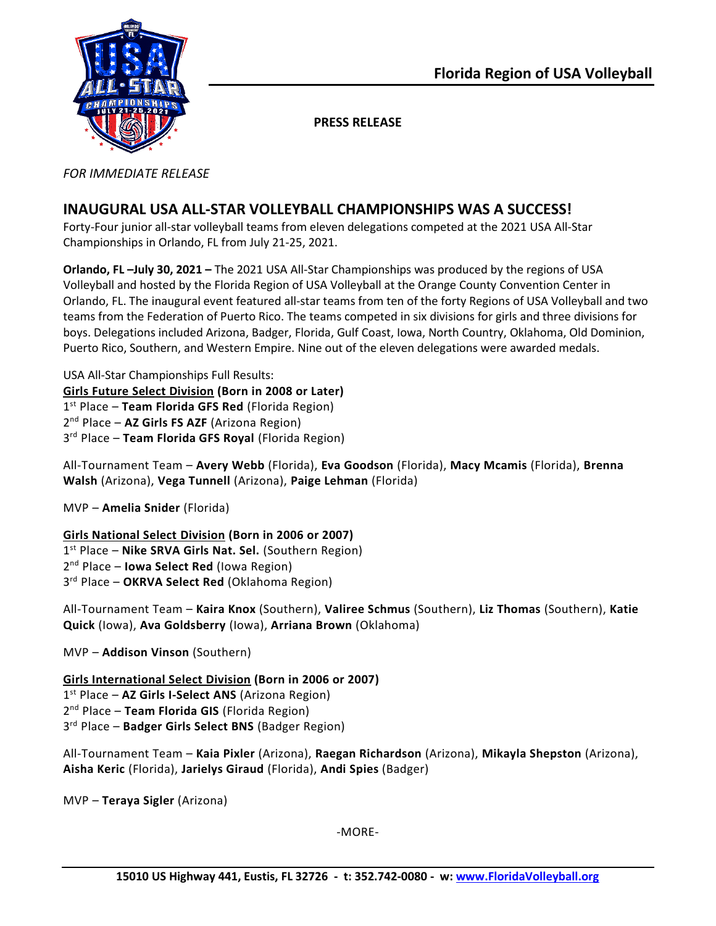

**PRESS RELEASE**

*FOR IMMEDIATE RELEASE*

# **INAUGURAL USA ALL-STAR VOLLEYBALL CHAMPIONSHIPS WAS A SUCCESS!**

Forty-Four junior all-star volleyball teams from eleven delegations competed at the 2021 USA All-Star Championships in Orlando, FL from July 21-25, 2021.

**Orlando, FL –July 30, 2021 –** The 2021 USA All-Star Championships was produced by the regions of USA Volleyball and hosted by the Florida Region of USA Volleyball at the Orange County Convention Center in Orlando, FL. The inaugural event featured all-star teams from ten of the forty Regions of USA Volleyball and two teams from the Federation of Puerto Rico. The teams competed in six divisions for girls and three divisions for boys. Delegations included Arizona, Badger, Florida, Gulf Coast, Iowa, North Country, Oklahoma, Old Dominion, Puerto Rico, Southern, and Western Empire. Nine out of the eleven delegations were awarded medals.

USA All-Star Championships Full Results: **Girls Future Select Division (Born in 2008 or Later)** 1 st Place – **Team Florida GFS Red** (Florida Region) 2 nd Place – **AZ Girls FS AZF** (Arizona Region) 3 rd Place – **Team Florida GFS Royal** (Florida Region)

All-Tournament Team – **Avery Webb** (Florida), **Eva Goodson** (Florida), **Macy Mcamis** (Florida), **Brenna Walsh** (Arizona), **Vega Tunnell** (Arizona), **Paige Lehman** (Florida)

MVP – **Amelia Snider** (Florida)

## **Girls National Select Division (Born in 2006 or 2007)**

1 st Place – **Nike SRVA Girls Nat. Sel.** (Southern Region) 2 nd Place – **Iowa Select Red** (Iowa Region) 3 rd Place – **OKRVA Select Red** (Oklahoma Region)

All-Tournament Team – **Kaira Knox** (Southern), **Valiree Schmus** (Southern), **Liz Thomas** (Southern), **Katie Quick** (Iowa), **Ava Goldsberry** (Iowa), **Arriana Brown** (Oklahoma)

MVP – **Addison Vinson** (Southern)

**Girls International Select Division (Born in 2006 or 2007)** 1 st Place – **AZ Girls I-Select ANS** (Arizona Region)

2 nd Place – **Team Florida GIS** (Florida Region)

3 rd Place – **Badger Girls Select BNS** (Badger Region)

All-Tournament Team – **Kaia Pixler** (Arizona), **Raegan Richardson** (Arizona), **Mikayla Shepston** (Arizona), **Aisha Keric** (Florida), **Jarielys Giraud** (Florida), **Andi Spies** (Badger)

MVP – **Teraya Sigler** (Arizona)

-MORE-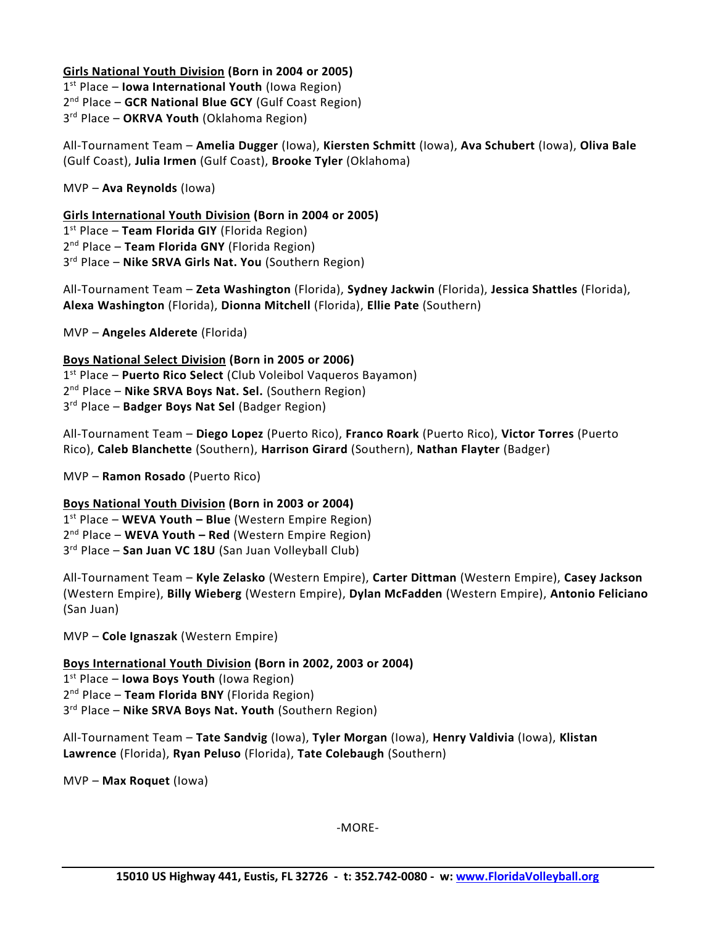### **Girls National Youth Division (Born in 2004 or 2005)**

1 st Place – **Iowa International Youth** (Iowa Region) 2<sup>nd</sup> Place - GCR National Blue GCY (Gulf Coast Region) 3 rd Place – **OKRVA Youth** (Oklahoma Region)

All-Tournament Team – **Amelia Dugger** (Iowa), **Kiersten Schmitt** (Iowa), **Ava Schubert** (Iowa), **Oliva Bale** (Gulf Coast), **Julia Irmen** (Gulf Coast), **Brooke Tyler** (Oklahoma)

MVP – **Ava Reynolds** (Iowa)

**Girls International Youth Division (Born in 2004 or 2005)** st Place – **Team Florida GIY** (Florida Region) nd Place – **Team Florida GNY** (Florida Region) rd Place – **Nike SRVA Girls Nat. You** (Southern Region)

All-Tournament Team – **Zeta Washington** (Florida), **Sydney Jackwin** (Florida), **Jessica Shattles** (Florida), **Alexa Washington** (Florida), **Dionna Mitchell** (Florida), **Ellie Pate** (Southern)

MVP – **Angeles Alderete** (Florida)

**Boys National Select Division (Born in 2005 or 2006)**

1 st Place – **Puerto Rico Select** (Club Voleibol Vaqueros Bayamon) 2 nd Place – **Nike SRVA Boys Nat. Sel.** (Southern Region)

3 rd Place – **Badger Boys Nat Sel** (Badger Region)

All-Tournament Team – **Diego Lopez** (Puerto Rico), **Franco Roark** (Puerto Rico), **Victor Torres** (Puerto Rico), **Caleb Blanchette** (Southern), **Harrison Girard** (Southern), **Nathan Flayter** (Badger)

MVP – **Ramon Rosado** (Puerto Rico)

**Boys National Youth Division (Born in 2003 or 2004)** st Place – **WEVA Youth – Blue** (Western Empire Region) nd Place – **WEVA Youth – Red** (Western Empire Region) rd Place – **San Juan VC 18U** (San Juan Volleyball Club)

All-Tournament Team – **Kyle Zelasko** (Western Empire), **Carter Dittman** (Western Empire), **Casey Jackson** (Western Empire), **Billy Wieberg** (Western Empire), **Dylan McFadden** (Western Empire), **Antonio Feliciano** (San Juan)

MVP – **Cole Ignaszak** (Western Empire)

**Boys International Youth Division (Born in 2002, 2003 or 2004)**

1 st Place – **Iowa Boys Youth** (Iowa Region)

2 nd Place – **Team Florida BNY** (Florida Region)

3 rd Place – **Nike SRVA Boys Nat. Youth** (Southern Region)

All-Tournament Team – **Tate Sandvig** (Iowa), **Tyler Morgan** (Iowa), **Henry Valdivia** (Iowa), **Klistan Lawrence** (Florida), **Ryan Peluso** (Florida), **Tate Colebaugh** (Southern)

MVP – **Max Roquet** (Iowa)

-MORE-